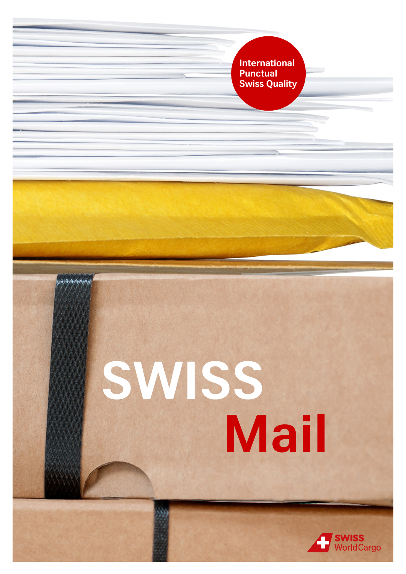